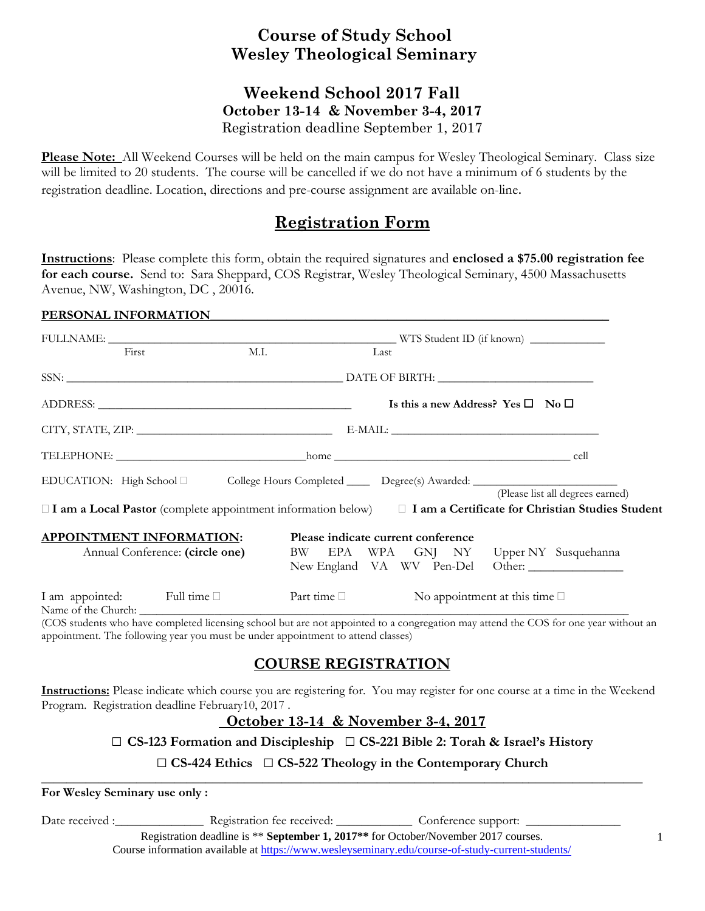# **Course of Study School Wesley Theological Seminary**

### **Weekend School 2017 Fall October 13-14 & November 3-4, 2017**  Registration deadline September 1, 2017

**Please Note:** All Weekend Courses will be held on the main campus for Wesley Theological Seminary. Class size will be limited to 20 students. The course will be cancelled if we do not have a minimum of 6 students by the registration deadline. Location, directions and pre-course assignment are available on-line.

## **Registration Form**

**Instructions**: Please complete this form, obtain the required signatures and **enclosed a \$75.00 registration fee for each course.** Send to: Sara Sheppard, COS Registrar, Wesley Theological Seminary, 4500 Massachusetts Avenue, NW, Washington, DC , 20016.

#### PERSONAL INFORMATION

| First                                                                                                             | M.I.                                              |                                                                              | Last |  |                                       |                                  |  |  |
|-------------------------------------------------------------------------------------------------------------------|---------------------------------------------------|------------------------------------------------------------------------------|------|--|---------------------------------------|----------------------------------|--|--|
|                                                                                                                   |                                                   |                                                                              |      |  |                                       |                                  |  |  |
|                                                                                                                   | Is this a new Address? Yes $\square$ No $\square$ |                                                                              |      |  |                                       |                                  |  |  |
|                                                                                                                   |                                                   |                                                                              |      |  |                                       |                                  |  |  |
|                                                                                                                   |                                                   |                                                                              |      |  |                                       |                                  |  |  |
| EDUCATION: High School D College Hours Completed ______ Degree(s) Awarded: _________________________              |                                                   |                                                                              |      |  |                                       | (Please list all degrees earned) |  |  |
| □ I am a Local Pastor (complete appointment information below) □ I am a Certificate for Christian Studies Student |                                                   |                                                                              |      |  |                                       |                                  |  |  |
| <b>APPOINTMENT INFORMATION:</b>                                                                                   |                                                   | Please indicate current conference<br>BW EPA WPA GNJ NY Upper NY Susquehanna |      |  |                                       |                                  |  |  |
| Annual Conference: (circle one)                                                                                   |                                                   |                                                                              |      |  |                                       | New England VA WV Pen-Del Other: |  |  |
| I am appointed: Full time                                                                                         |                                                   | Part time $\Box$                                                             |      |  | No appointment at this time $\square$ |                                  |  |  |

(COS students who have completed licensing school but are not appointed to a congregation may attend the COS for one year without an appointment. The following year you must be under appointment to attend classes)

## **COURSE REGISTRATION**

**Instructions:** Please indicate which course you are registering for. You may register for one course at a time in the Weekend Program. Registration deadline February10, 2017 .

### **October 13-14 & November 3-4, 2017**

□ **CS-123 Formation and Discipleship** □ **CS-221 Bible 2: Torah & Israel's History**

□ **CS-424 Ethics** □ **CS-522 Theology in the Contemporary Church** 

**\_\_\_\_\_\_\_\_\_\_\_\_\_\_\_\_\_\_\_\_\_\_\_\_\_\_\_\_\_\_\_\_\_\_\_\_\_\_\_\_\_\_\_\_\_\_\_\_\_\_\_\_\_\_\_\_\_\_\_\_\_\_\_\_\_\_\_\_\_\_\_\_\_\_\_\_\_\_\_\_\_\_\_\_\_\_\_\_\_\_\_\_\_\_\_** 

**For Wesley Seminary use only :** 

Date received :\_\_\_\_\_\_\_\_\_\_\_\_\_\_\_\_\_\_ Registration fee received: \_\_\_\_\_\_\_\_\_\_\_\_\_\_\_\_ Conference support: \_

Registration deadline is \*\* **September 1, 2017\*\*** for October/November 2017 courses. Course information available at https://www.wesleyseminary.edu/course-of-study-current-students/ 1